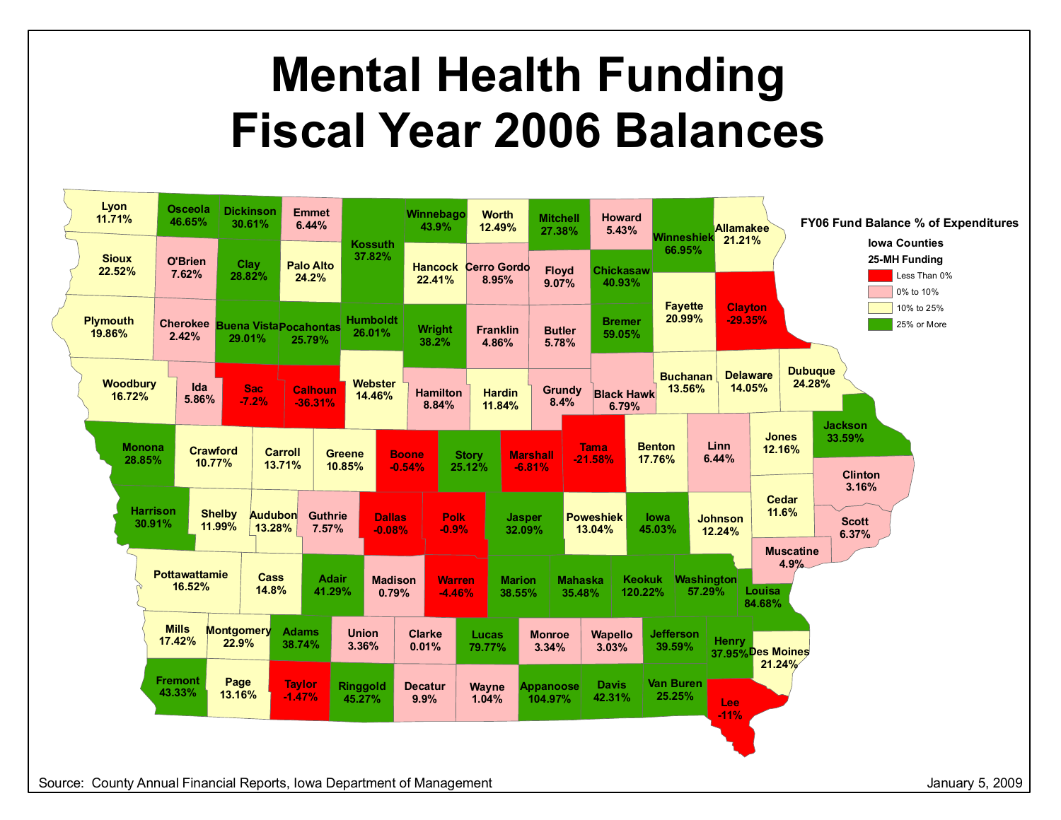## **Mental Health Funding Fiscal Year 2006 Balances**

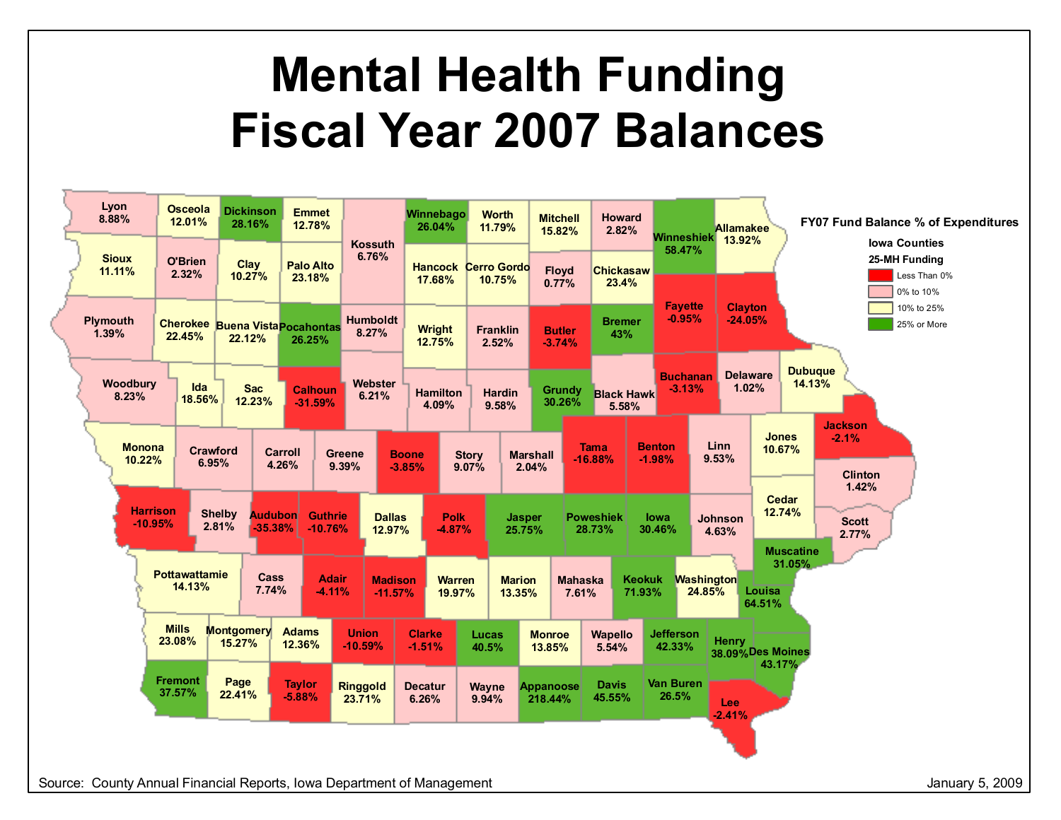## **Mental Health Funding Fiscal Year 2007 Balances**